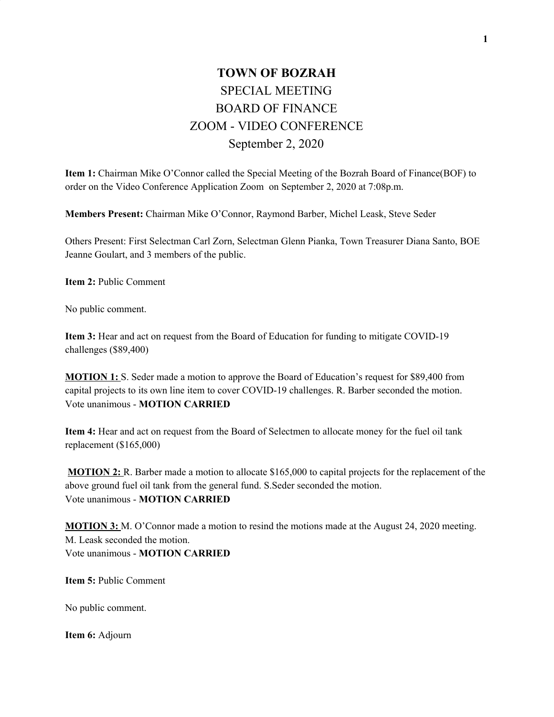## **TOWN OF BOZRAH** SPECIAL MEETING BOARD OF FINANCE ZOOM - VIDEO CONFERENCE September 2, 2020

**Item 1:** Chairman Mike O'Connor called the Special Meeting of the Bozrah Board of Finance(BOF) to order on the Video Conference Application Zoom on September 2, 2020 at 7:08p.m.

**Members Present:** Chairman Mike O'Connor, Raymond Barber, Michel Leask, Steve Seder

Others Present: First Selectman Carl Zorn, Selectman Glenn Pianka, Town Treasurer Diana Santo, BOE Jeanne Goulart, and 3 members of the public.

**Item 2:** Public Comment

No public comment.

**Item 3:** Hear and act on request from the Board of Education for funding to mitigate COVID-19 challenges (\$89,400)

**MOTION 1:** S. Seder made a motion to approve the Board of Education's request for \$89,400 from capital projects to its own line item to cover COVID-19 challenges. R. Barber seconded the motion. Vote unanimous - **MOTION CARRIED**

**Item 4:** Hear and act on request from the Board of Selectmen to allocate money for the fuel oil tank replacement (\$165,000)

**MOTION 2:** R. Barber made a motion to allocate \$165,000 to capital projects for the replacement of the above ground fuel oil tank from the general fund. S.Seder seconded the motion. Vote unanimous - **MOTION CARRIED**

**MOTION 3:** M. O'Connor made a motion to resind the motions made at the August 24, 2020 meeting. M. Leask seconded the motion. Vote unanimous - **MOTION CARRIED**

**Item 5:** Public Comment

No public comment.

**Item 6:** Adjourn